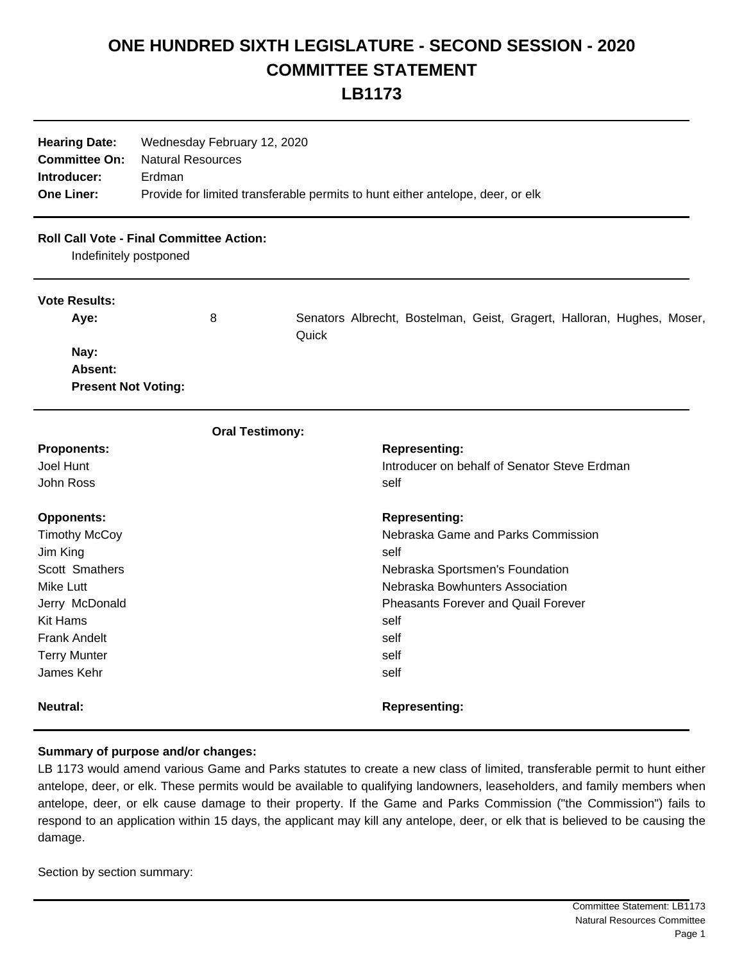## **ONE HUNDRED SIXTH LEGISLATURE - SECOND SESSION - 2020 COMMITTEE STATEMENT LB1173**

| <b>Hearing Date:</b><br><b>Committee On:</b><br>Introducer: | Wednesday February 12, 2020<br><b>Natural Resources</b><br>Erdman              |                                                                                 |  |
|-------------------------------------------------------------|--------------------------------------------------------------------------------|---------------------------------------------------------------------------------|--|
| <b>One Liner:</b>                                           | Provide for limited transferable permits to hunt either antelope, deer, or elk |                                                                                 |  |
| Indefinitely postponed                                      | <b>Roll Call Vote - Final Committee Action:</b>                                |                                                                                 |  |
| <b>Vote Results:</b>                                        |                                                                                |                                                                                 |  |
| Aye:                                                        | 8                                                                              | Senators Albrecht, Bostelman, Geist, Gragert, Halloran, Hughes, Moser,<br>Quick |  |
| Nay:                                                        |                                                                                |                                                                                 |  |
| Absent:                                                     |                                                                                |                                                                                 |  |
| <b>Present Not Voting:</b>                                  |                                                                                |                                                                                 |  |
|                                                             | <b>Oral Testimony:</b>                                                         |                                                                                 |  |
| <b>Proponents:</b>                                          |                                                                                | <b>Representing:</b>                                                            |  |
| Joel Hunt                                                   |                                                                                | Introducer on behalf of Senator Steve Erdman                                    |  |
| John Ross                                                   |                                                                                | self                                                                            |  |
| <b>Opponents:</b>                                           |                                                                                | <b>Representing:</b>                                                            |  |
| <b>Timothy McCoy</b>                                        |                                                                                | Nebraska Game and Parks Commission                                              |  |
| Jim King                                                    |                                                                                | self                                                                            |  |
| Scott Smathers                                              |                                                                                | Nebraska Sportsmen's Foundation                                                 |  |
| Mike Lutt                                                   |                                                                                | Nebraska Bowhunters Association                                                 |  |
| Jerry McDonald                                              |                                                                                | <b>Pheasants Forever and Quail Forever</b>                                      |  |
| <b>Kit Hams</b>                                             |                                                                                | self                                                                            |  |
| <b>Frank Andelt</b>                                         |                                                                                | self                                                                            |  |
| <b>Terry Munter</b>                                         |                                                                                | self                                                                            |  |
| James Kehr                                                  |                                                                                | self                                                                            |  |
| <b>Neutral:</b>                                             |                                                                                | <b>Representing:</b>                                                            |  |

## **Summary of purpose and/or changes:**

LB 1173 would amend various Game and Parks statutes to create a new class of limited, transferable permit to hunt either antelope, deer, or elk. These permits would be available to qualifying landowners, leaseholders, and family members when antelope, deer, or elk cause damage to their property. If the Game and Parks Commission ("the Commission") fails to respond to an application within 15 days, the applicant may kill any antelope, deer, or elk that is believed to be causing the damage.

Section by section summary: